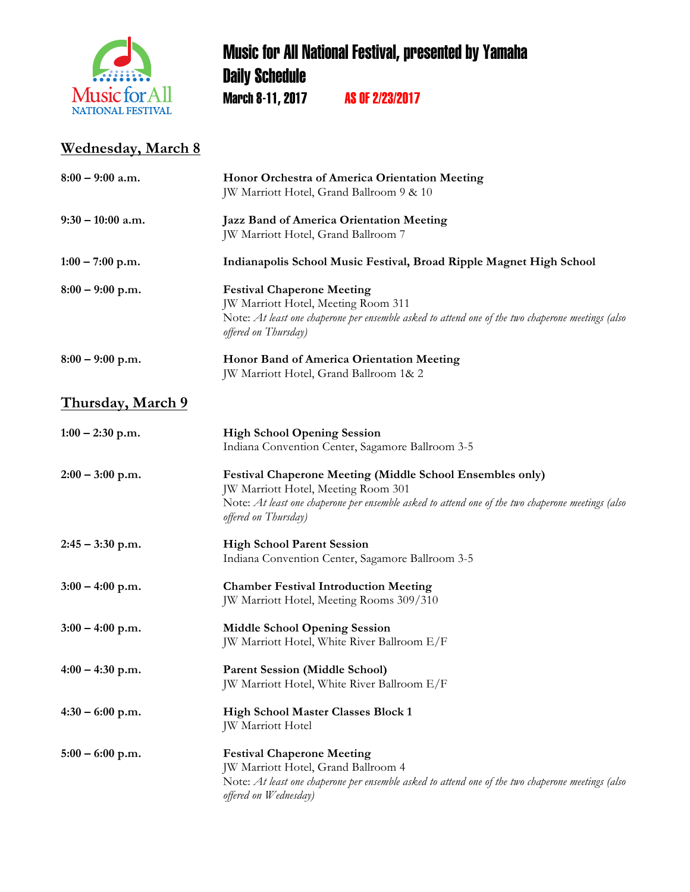

## Music for All National Festival, presented by Yamaha **Daily Schedule** March 8-11, 2017 AS OF 2/23/2017

## **Wednesday, March 8**

| $8:00 - 9:00$ a.m.       | Honor Orchestra of America Orientation Meeting<br>JW Marriott Hotel, Grand Ballroom 9 & 10                                                                                                                                           |
|--------------------------|--------------------------------------------------------------------------------------------------------------------------------------------------------------------------------------------------------------------------------------|
| $9:30 - 10:00$ a.m.      | Jazz Band of America Orientation Meeting<br>JW Marriott Hotel, Grand Ballroom 7                                                                                                                                                      |
| $1:00 - 7:00$ p.m.       | Indianapolis School Music Festival, Broad Ripple Magnet High School                                                                                                                                                                  |
| $8:00 - 9:00$ p.m.       | <b>Festival Chaperone Meeting</b><br>JW Marriott Hotel, Meeting Room 311<br>Note: At least one chaperone per ensemble asked to attend one of the two chaperone meetings (also<br>offered on Thursday)                                |
| $8:00 - 9:00$ p.m.       | Honor Band of America Orientation Meeting<br>JW Marriott Hotel, Grand Ballroom 1& 2                                                                                                                                                  |
| <b>Thursday, March 9</b> |                                                                                                                                                                                                                                      |
| $1:00 - 2:30$ p.m.       | <b>High School Opening Session</b><br>Indiana Convention Center, Sagamore Ballroom 3-5                                                                                                                                               |
| $2:00 - 3:00$ p.m.       | <b>Festival Chaperone Meeting (Middle School Ensembles only)</b><br>JW Marriott Hotel, Meeting Room 301<br>Note: At least one chaperone per ensemble asked to attend one of the two chaperone meetings (also<br>offered on Thursday) |
| $2:45 - 3:30$ p.m.       | <b>High School Parent Session</b><br>Indiana Convention Center, Sagamore Ballroom 3-5                                                                                                                                                |
| $3:00 - 4:00$ p.m.       | <b>Chamber Festival Introduction Meeting</b><br>JW Marriott Hotel, Meeting Rooms 309/310                                                                                                                                             |
| $3:00 - 4:00$ p.m.       | <b>Middle School Opening Session</b><br>JW Marriott Hotel, White River Ballroom E/F                                                                                                                                                  |
| $4:00 - 4:30$ p.m.       | <b>Parent Session (Middle School)</b><br>JW Marriott Hotel, White River Ballroom E/F                                                                                                                                                 |
| $4:30 - 6:00$ p.m.       | High School Master Classes Block 1<br>JW Marriott Hotel                                                                                                                                                                              |
| $5:00 - 6:00$ p.m.       | <b>Festival Chaperone Meeting</b><br>JW Marriott Hotel, Grand Ballroom 4<br>Note: At least one chaperone per ensemble asked to attend one of the two chaperone meetings (also<br>offered on Wednesday)                               |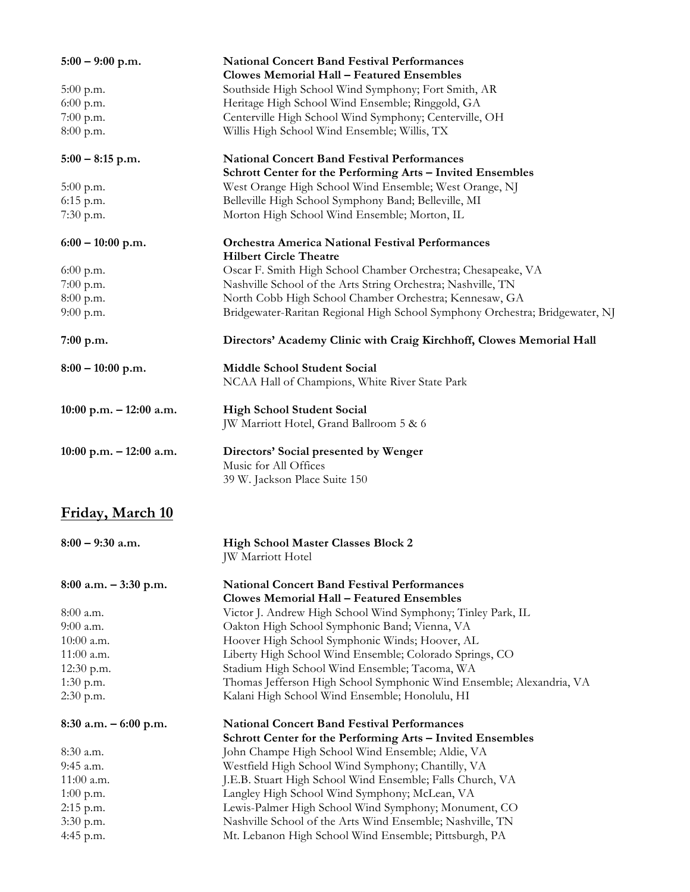| $5:00 - 9:00$ p.m.         | <b>National Concert Band Festival Performances</b><br><b>Clowes Memorial Hall - Featured Ensembles</b>           |
|----------------------------|------------------------------------------------------------------------------------------------------------------|
| $5:00$ p.m.                | Southside High School Wind Symphony; Fort Smith, AR                                                              |
| $6:00$ p.m.                | Heritage High School Wind Ensemble; Ringgold, GA                                                                 |
| $7:00$ p.m.                | Centerville High School Wind Symphony; Centerville, OH                                                           |
| 8:00 p.m.                  | Willis High School Wind Ensemble; Willis, TX                                                                     |
| $5:00 - 8:15$ p.m.         | <b>National Concert Band Festival Performances</b>                                                               |
|                            | Schrott Center for the Performing Arts - Invited Ensembles                                                       |
| $5:00$ p.m.                | West Orange High School Wind Ensemble; West Orange, NJ                                                           |
| 6:15 p.m.                  | Belleville High School Symphony Band; Belleville, MI                                                             |
| 7:30 p.m.                  | Morton High School Wind Ensemble; Morton, IL                                                                     |
| $6:00 - 10:00$ p.m.        | <b>Orchestra America National Festival Performances</b><br><b>Hilbert Circle Theatre</b>                         |
| 6:00 p.m.                  | Oscar F. Smith High School Chamber Orchestra; Chesapeake, VA                                                     |
| 7:00 p.m.                  | Nashville School of the Arts String Orchestra; Nashville, TN                                                     |
| 8:00 p.m.                  | North Cobb High School Chamber Orchestra; Kennesaw, GA                                                           |
| $9:00$ p.m.                | Bridgewater-Raritan Regional High School Symphony Orchestra; Bridgewater, NJ                                     |
| 7:00 p.m.                  | Directors' Academy Clinic with Craig Kirchhoff, Clowes Memorial Hall                                             |
| $8:00 - 10:00$ p.m.        | Middle School Student Social                                                                                     |
|                            | NCAA Hall of Champions, White River State Park                                                                   |
| $10:00$ p.m. $-12:00$ a.m. | <b>High School Student Social</b><br>JW Marriott Hotel, Grand Ballroom 5 & 6                                     |
| $10:00$ p.m. $-12:00$ a.m. | Directors' Social presented by Wenger<br>Music for All Offices<br>39 W. Jackson Place Suite 150                  |
| Friday, March 10           |                                                                                                                  |
| $8:00 - 9:30$ a.m.         | <b>High School Master Classes Block 2</b><br>JW Marriott Hotel                                                   |
| $8:00$ a.m. $-3:30$ p.m.   | <b>National Concert Band Festival Performances</b><br><b>Clowes Memorial Hall - Featured Ensembles</b>           |
| $8:00$ a.m.                | Victor J. Andrew High School Wind Symphony; Tinley Park, IL                                                      |
| 9:00 a.m.                  | Oakton High School Symphonic Band; Vienna, VA                                                                    |
| $10:00$ a.m.               | Hoover High School Symphonic Winds; Hoover, AL                                                                   |
| 11:00 a.m.                 | Liberty High School Wind Ensemble; Colorado Springs, CO                                                          |
| 12:30 p.m.                 | Stadium High School Wind Ensemble; Tacoma, WA                                                                    |
| $1:30$ p.m.                | Thomas Jefferson High School Symphonic Wind Ensemble; Alexandria, VA                                             |
| 2:30 p.m.                  | Kalani High School Wind Ensemble; Honolulu, HI                                                                   |
| $8:30$ a.m. $-6:00$ p.m.   | <b>National Concert Band Festival Performances</b><br>Schrott Center for the Performing Arts - Invited Ensembles |
| 8:30 a.m.                  | John Champe High School Wind Ensemble; Aldie, VA                                                                 |
| 9:45 a.m.                  | Westfield High School Wind Symphony; Chantilly, VA                                                               |
| 11:00 a.m.                 | J.E.B. Stuart High School Wind Ensemble; Falls Church, VA                                                        |
| $1:00$ p.m.                | Langley High School Wind Symphony; McLean, VA                                                                    |
| 2:15 p.m.                  | Lewis-Palmer High School Wind Symphony; Monument, CO                                                             |
| 3:30 p.m.                  | Nashville School of the Arts Wind Ensemble; Nashville, TN                                                        |
| 4:45 p.m.                  | Mt. Lebanon High School Wind Ensemble; Pittsburgh, PA                                                            |
|                            |                                                                                                                  |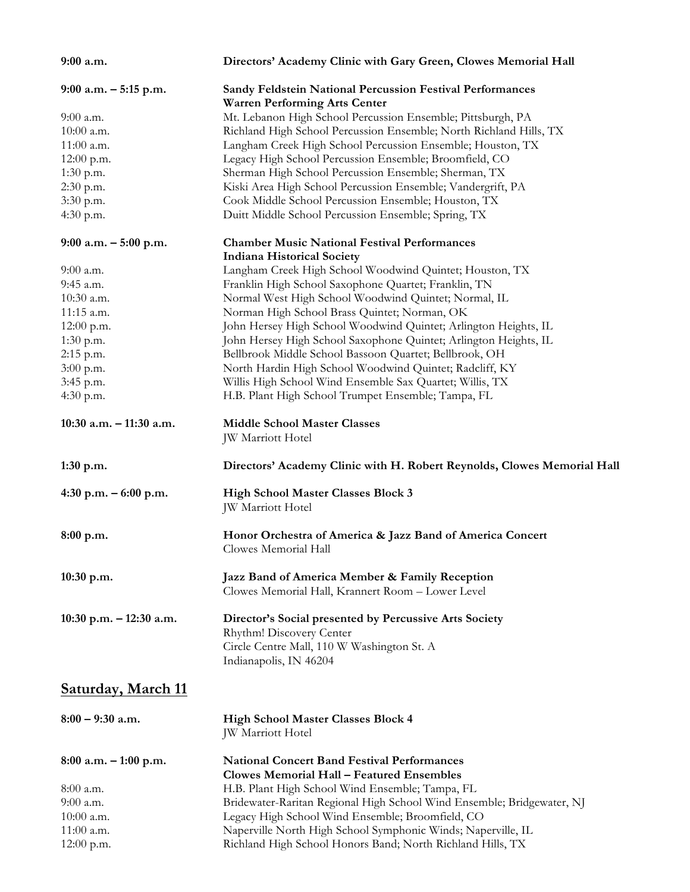| 9:00 a.m.                 | Directors' Academy Clinic with Gary Green, Clowes Memorial Hall                                                                  |
|---------------------------|----------------------------------------------------------------------------------------------------------------------------------|
| $9:00$ a.m. $-5:15$ p.m.  | <b>Sandy Feldstein National Percussion Festival Performances</b><br><b>Warren Performing Arts Center</b>                         |
| 9:00 a.m.                 | Mt. Lebanon High School Percussion Ensemble; Pittsburgh, PA                                                                      |
| 10:00 a.m.                |                                                                                                                                  |
|                           | Richland High School Percussion Ensemble; North Richland Hills, TX                                                               |
| $11:00$ a.m.              | Langham Creek High School Percussion Ensemble; Houston, TX                                                                       |
| 12:00 p.m.                | Legacy High School Percussion Ensemble; Broomfield, CO                                                                           |
| $1:30$ p.m.               | Sherman High School Percussion Ensemble; Sherman, TX                                                                             |
| 2:30 p.m.                 | Kiski Area High School Percussion Ensemble; Vandergrift, PA                                                                      |
| 3:30 p.m.                 | Cook Middle School Percussion Ensemble; Houston, TX                                                                              |
| 4:30 p.m.                 | Duitt Middle School Percussion Ensemble; Spring, TX                                                                              |
| 9:00 a.m. $-5:00$ p.m.    | <b>Chamber Music National Festival Performances</b><br><b>Indiana Historical Society</b>                                         |
| $9:00$ a.m.               | Langham Creek High School Woodwind Quintet; Houston, TX                                                                          |
| 9:45 a.m.                 | Franklin High School Saxophone Quartet; Franklin, TN                                                                             |
| 10:30 a.m.                | Normal West High School Woodwind Quintet; Normal, IL                                                                             |
| 11:15 a.m.                | Norman High School Brass Quintet; Norman, OK                                                                                     |
| 12:00 p.m.                | John Hersey High School Woodwind Quintet; Arlington Heights, IL                                                                  |
| $1:30$ p.m.               | John Hersey High School Saxophone Quintet; Arlington Heights, IL                                                                 |
| 2:15 p.m.                 | Bellbrook Middle School Bassoon Quartet; Bellbrook, OH                                                                           |
| 3:00 p.m.                 | North Hardin High School Woodwind Quintet; Radcliff, KY                                                                          |
|                           | Willis High School Wind Ensemble Sax Quartet; Willis, TX                                                                         |
| 3:45 p.m.                 |                                                                                                                                  |
| 4:30 p.m.                 | H.B. Plant High School Trumpet Ensemble; Tampa, FL                                                                               |
| 10:30 a.m. - 11:30 a.m.   | <b>Middle School Master Classes</b><br>JW Marriott Hotel                                                                         |
| 1:30 p.m.                 | Directors' Academy Clinic with H. Robert Reynolds, Clowes Memorial Hall                                                          |
| 4:30 p.m. $-6:00$ p.m.    | <b>High School Master Classes Block 3</b><br>JW Marriott Hotel                                                                   |
| 8:00 p.m.                 | Honor Orchestra of America & Jazz Band of America Concert<br>Clowes Memorial Hall                                                |
| $10:30$ p.m.              | Jazz Band of America Member & Family Reception<br>Clowes Memorial Hall, Krannert Room - Lower Level                              |
| 10:30 p.m. $- 12:30$ a.m. | Director's Social presented by Percussive Arts Society<br>Rhythm! Discovery Center<br>Circle Centre Mall, 110 W Washington St. A |
|                           | Indianapolis, IN 46204                                                                                                           |
| <u>Saturday, March 11</u> |                                                                                                                                  |
| $8:00 - 9:30$ a.m.        | <b>High School Master Classes Block 4</b><br>JW Marriott Hotel                                                                   |
| $8:00$ a.m. $-1:00$ p.m.  | <b>National Concert Band Festival Performances</b><br><b>Clowes Memorial Hall - Featured Ensembles</b>                           |
|                           |                                                                                                                                  |
| $8:00$ a.m.               | H.B. Plant High School Wind Ensemble; Tampa, FL                                                                                  |
| 9:00 a.m.                 | Bridewater-Raritan Regional High School Wind Ensemble; Bridgewater, NJ                                                           |
| $10:00$ a.m.              | Legacy High School Wind Ensemble; Broomfield, CO                                                                                 |
| $11:00$ a.m.              | Naperville North High School Symphonic Winds; Naperville, IL                                                                     |
| $12:00$ p.m.              | Richland High School Honors Band; North Richland Hills, TX                                                                       |